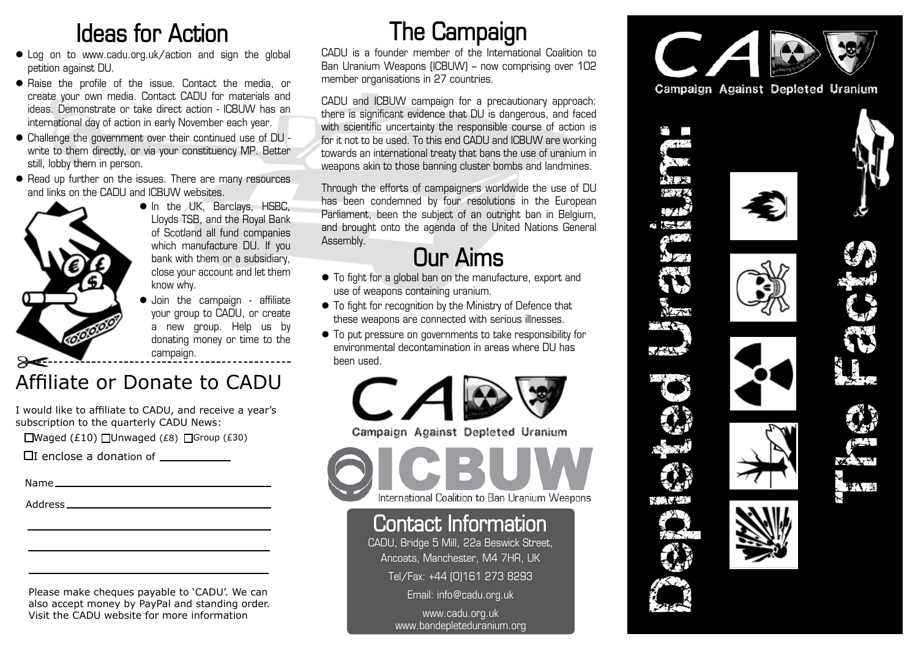### **Ideas for Action**

- Log on to www.cadu.org.uk/action and sign the global petition against DU.
- $\bullet$  Raise the profile of the issue. Contact the media, or create your own media. Contact CADU for materials and ideas. Demonstrate or take direct action - ICBUW has an international day of action in early November each year.
- Challenge the government over their continued use of DU write to them directly, or via your constituency MP. Better still, lobby them in person.
- Read up further on the issues. There are many resources and links on the CADU and ICBUW websites.



- $\bullet$  In the UK, Barclays, HSBC, Lloyds TSB, and the Royal Bank of Scotland all fund companies which manufacture DU. If you bank with them or a subsidiary, close your account and let them know why.
- $\bullet$  Join the campaign affiliate your group to CADU, or create a new group. Help us by donating money or time to the campaign.

#### Affiliate or Donate to CADU

I would like to affiliate to CADU, and receive a year's subscription to the quarterly CADU News:

 $\Box$ Waged (£10)  $\Box$ Unwaged (£8)  $\Box$ Group (£30)

|  | $\Box$ I enclose a donation of |  |
|--|--------------------------------|--|
|  |                                |  |

| . .<br>v.<br>×<br>v |  |
|---------------------|--|
|---------------------|--|

Address

Please make cheques payable to 'CADU'. We can also accept money by PayPal and standing order. Visit the CADU website for more information

# **The Campaign**

CADU is a founder member of the International Coalition to Ban Uranium Weapons (ICBUW) – now comprising over 102 member organisations in 27 countries.

CADU and ICBUW campaign for a precautionary approach: there is significant evidence that DU is dangerous, and faced with scientific uncertainty the responsible course of action is for it not to be used. To this end CADU and ICBUW are working towards an international treaty that bans the use of uranium in weapons akin to those banning cluster bombs and landmines.

Through the efforts of campaigners worldwide the use of DU has been condemned by four resolutions in the European Parliament, been the subject of an outright ban in Belgium, and brought onto the agenda of the United Nations General Assembly.

## **Our Aims**

- $\bullet$  To fight for a global ban on the manufacture, export and use of weapons containing uranium.
- $\bullet$  To fight for recognition by the Ministry of Defence that these weapons are connected with serious illnesses.
- $\bullet$  To put pressure on governments to take responsibility for environmental decontamination in areas where DU has been used .



Campaign Against Depleted Uranium

International Coalition to Ban Uranium Weapons

#### **Contact Information**

CADU, Bridge 5 Mill, 22a Beswick Street, Ancoats, Manchester, M4 7HR, UK Tel/Fax: +44 (0)161 273 8293

Email: info@cadu.org.uk

www.cadu.org.uk www.bandepleteduranium.org